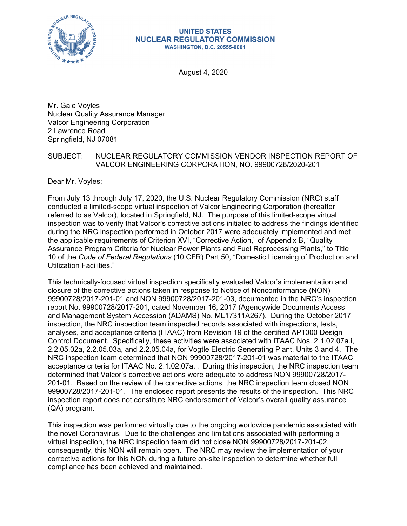

#### **UNITED STATES NUCLEAR REGULATORY COMMISSION WASHINGTON, D.C. 20555-0001**

August 4, 2020

Mr. Gale Voyles Nuclear Quality Assurance Manager Valcor Engineering Corporation 2 Lawrence Road Springfield, NJ 07081

### SUBJECT: NUCLEAR REGULATORY COMMISSION VENDOR INSPECTION REPORT OF VALCOR ENGINEERING CORPORATION, NO. 99900728/2020-201

Dear Mr. Voyles:

From July 13 through July 17, 2020, the U.S. Nuclear Regulatory Commission (NRC) staff conducted a limited-scope virtual inspection of Valcor Engineering Corporation (hereafter referred to as Valcor), located in Springfield, NJ. The purpose of this limited-scope virtual inspection was to verify that Valcor's corrective actions initiated to address the findings identified during the NRC inspection performed in October 2017 were adequately implemented and met the applicable requirements of Criterion XVI, "Corrective Action," of Appendix B, "Quality Assurance Program Criteria for Nuclear Power Plants and Fuel Reprocessing Plants," to Title 10 of the *Code of Federal Regulations* (10 CFR) Part 50, "Domestic Licensing of Production and Utilization Facilities."

This technically-focused virtual inspection specifically evaluated Valcor's implementation and closure of the corrective actions taken in response to Notice of Nonconformance (NON) 99900728/2017-201-01 and NON 99900728/2017-201-03, documented in the NRC's inspection report No. 99900728/2017-201, dated November 16, 2017 (Agencywide Documents Access and Management System Accession (ADAMS) No. ML17311A267). During the October 2017 inspection, the NRC inspection team inspected records associated with inspections, tests, analyses, and acceptance criteria (ITAAC) from Revision 19 of the certified AP1000 Design Control Document. Specifically, these activities were associated with ITAAC Nos. 2.1.02.07a.i, 2.2.05.02a, 2.2.05.03a, and 2.2.05.04a, for Vogtle Electric Generating Plant, Units 3 and 4. The NRC inspection team determined that NON 99900728/2017-201-01 was material to the ITAAC acceptance criteria for ITAAC No. 2.1.02.07a.i. During this inspection, the NRC inspection team determined that Valcor's corrective actions were adequate to address NON 99900728/2017- 201-01. Based on the review of the corrective actions, the NRC inspection team closed NON 99900728/2017-201-01. The enclosed report presents the results of the inspection. This NRC inspection report does not constitute NRC endorsement of Valcor's overall quality assurance (QA) program.

This inspection was performed virtually due to the ongoing worldwide pandemic associated with the novel Coronavirus. Due to the challenges and limitations associated with performing a virtual inspection, the NRC inspection team did not close NON 99900728/2017-201-02, consequently, this NON will remain open. The NRC may review the implementation of your corrective actions for this NON during a future on-site inspection to determine whether full compliance has been achieved and maintained.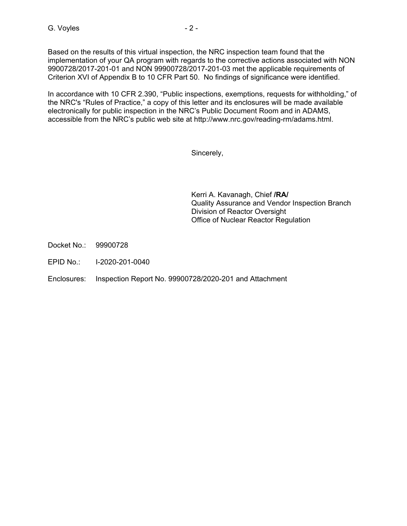Based on the results of this virtual inspection, the NRC inspection team found that the implementation of your QA program with regards to the corrective actions associated with NON 9900728/2017-201-01 and NON 99900728/2017-201-03 met the applicable requirements of Criterion XVI of Appendix B to 10 CFR Part 50. No findings of significance were identified.

In accordance with 10 CFR 2.390, "Public inspections, exemptions, requests for withholding," of the NRC's "Rules of Practice," a copy of this letter and its enclosures will be made available electronically for public inspection in the NRC's Public Document Room and in ADAMS, accessible from the NRC's public web site at http://www.nrc.gov/reading-rm/adams.html.

Sincerely,

Kerri A. Kavanagh, Chief **/RA/**  Quality Assurance and Vendor Inspection Branch Division of Reactor Oversight Office of Nuclear Reactor Regulation

Docket No.: 99900728

EPID No.: I-2020-201-0040

Enclosures: Inspection Report No. 99900728/2020-201 and Attachment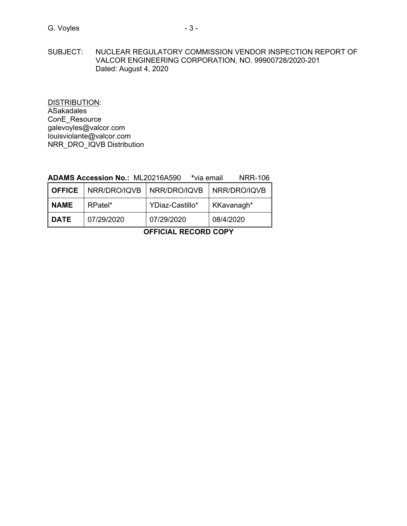SUBJECT: NUCLEAR REGULATORY COMMISSION VENDOR INSPECTION REPORT OF VALCOR ENGINEERING CORPORATION, NO. 99900728/2020-201 Dated: August 4, 2020

DISTRIBUTION: ASakadales ConE\_Resource galevoyles@valcor.com louisviolante@valcor.com NRR\_DRO\_IQVB Distribution

# **ADAMS Accession No.:** ML20216A590 **\***via email NRR-106

| I OFFICE | NRR/DRO/IQVB   NRR/DRO/IQVB |                 | NRR/DRO/IQVB |
|----------|-----------------------------|-----------------|--------------|
| I NAME.  | RPatel*                     | YDiaz-Castillo* | KKavanagh*   |
| I DATE   | 07/29/2020                  | 07/29/2020      | 08/4/2020    |

# **OFFICIAL RECORD COPY**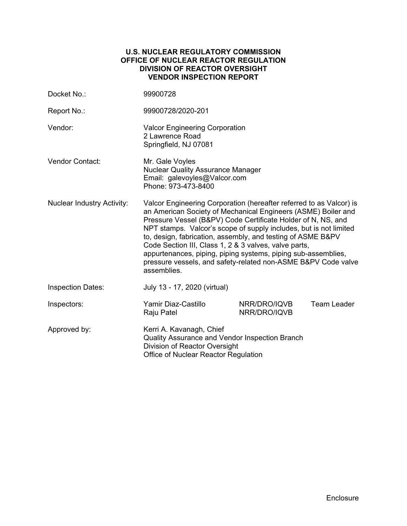### **U.S. NUCLEAR REGULATORY COMMISSION OFFICE OF NUCLEAR REACTOR REGULATION DIVISION OF REACTOR OVERSIGHT VENDOR INSPECTION REPORT**

| Docket No.:                       | 99900728                                                                                                                                                                                                                                                                                                                                                                                                                                                                                                                                           |                              |                    |  |
|-----------------------------------|----------------------------------------------------------------------------------------------------------------------------------------------------------------------------------------------------------------------------------------------------------------------------------------------------------------------------------------------------------------------------------------------------------------------------------------------------------------------------------------------------------------------------------------------------|------------------------------|--------------------|--|
| Report No.:                       | 99900728/2020-201                                                                                                                                                                                                                                                                                                                                                                                                                                                                                                                                  |                              |                    |  |
| Vendor:                           | <b>Valcor Engineering Corporation</b><br>2 Lawrence Road<br>Springfield, NJ 07081                                                                                                                                                                                                                                                                                                                                                                                                                                                                  |                              |                    |  |
| <b>Vendor Contact:</b>            | Mr. Gale Voyles<br><b>Nuclear Quality Assurance Manager</b><br>Email: galevoyles@Valcor.com<br>Phone: 973-473-8400                                                                                                                                                                                                                                                                                                                                                                                                                                 |                              |                    |  |
| <b>Nuclear Industry Activity:</b> | Valcor Engineering Corporation (hereafter referred to as Valcor) is<br>an American Society of Mechanical Engineers (ASME) Boiler and<br>Pressure Vessel (B&PV) Code Certificate Holder of N, NS, and<br>NPT stamps. Valcor's scope of supply includes, but is not limited<br>to, design, fabrication, assembly, and testing of ASME B&PV<br>Code Section III, Class 1, 2 & 3 valves, valve parts,<br>appurtenances, piping, piping systems, piping sub-assemblies,<br>pressure vessels, and safety-related non-ASME B&PV Code valve<br>assemblies. |                              |                    |  |
| <b>Inspection Dates:</b>          | July 13 - 17, 2020 (virtual)                                                                                                                                                                                                                                                                                                                                                                                                                                                                                                                       |                              |                    |  |
| Inspectors:                       | Yamir Diaz-Castillo<br>Raju Patel                                                                                                                                                                                                                                                                                                                                                                                                                                                                                                                  | NRR/DRO/IQVB<br>NRR/DRO/IQVB | <b>Team Leader</b> |  |
| Approved by:                      | Kerri A. Kavanagh, Chief<br>Quality Assurance and Vendor Inspection Branch<br>Division of Reactor Oversight<br>Office of Nuclear Reactor Regulation                                                                                                                                                                                                                                                                                                                                                                                                |                              |                    |  |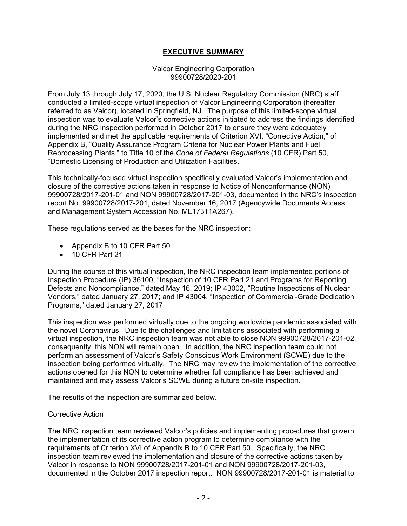# **EXECUTIVE SUMMARY**

#### Valcor Engineering Corporation 99900728/2020-201

From July 13 through July 17, 2020, the U.S. Nuclear Regulatory Commission (NRC) staff conducted a limited-scope virtual inspection of Valcor Engineering Corporation (hereafter referred to as Valcor), located in Springfield, NJ. The purpose of this limited-scope virtual inspection was to evaluate Valcor's corrective actions initiated to address the findings identified during the NRC inspection performed in October 2017 to ensure they were adequately implemented and met the applicable requirements of Criterion XVI, "Corrective Action," of Appendix B, "Quality Assurance Program Criteria for Nuclear Power Plants and Fuel Reprocessing Plants," to Title 10 of the *Code of Federal Regulations* (10 CFR) Part 50, "Domestic Licensing of Production and Utilization Facilities."

This technically-focused virtual inspection specifically evaluated Valcor's implementation and closure of the corrective actions taken in response to Notice of Nonconformance (NON) 99900728/2017-201-01 and NON 99900728/2017-201-03, documented in the NRC's inspection report No. 99900728/2017-201, dated November 16, 2017 (Agencywide Documents Access and Management System Accession No. ML17311A267).

These regulations served as the bases for the NRC inspection:

- Appendix B to 10 CFR Part 50
- 10 CFR Part 21

During the course of this virtual inspection, the NRC inspection team implemented portions of Inspection Procedure (IP) 36100, "Inspection of 10 CFR Part 21 and Programs for Reporting Defects and Noncompliance," dated May 16, 2019; IP 43002, "Routine Inspections of Nuclear Vendors," dated January 27, 2017; and IP 43004, "Inspection of Commercial-Grade Dedication Programs," dated January 27, 2017.

This inspection was performed virtually due to the ongoing worldwide pandemic associated with the novel Coronavirus. Due to the challenges and limitations associated with performing a virtual inspection, the NRC inspection team was not able to close NON 99900728/2017-201-02, consequently, this NON will remain open. In addition, the NRC inspection team could not perform an assessment of Valcor's Safety Conscious Work Environment (SCWE) due to the inspection being performed virtually. The NRC may review the implementation of the corrective actions opened for this NON to determine whether full compliance has been achieved and maintained and may assess Valcor's SCWE during a future on-site inspection.

The results of the inspection are summarized below.

# Corrective Action

The NRC inspection team reviewed Valcor's policies and implementing procedures that govern the implementation of its corrective action program to determine compliance with the requirements of Criterion XVI of Appendix B to 10 CFR Part 50. Specifically, the NRC inspection team reviewed the implementation and closure of the corrective actions taken by Valcor in response to NON 99900728/2017-201-01 and NON 99900728/2017-201-03, documented in the October 2017 inspection report. NON 99900728/2017-201-01 is material to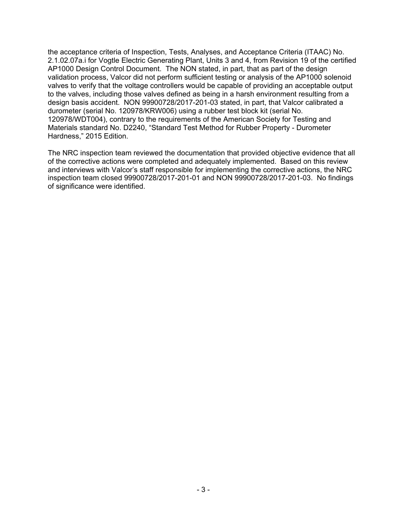the acceptance criteria of Inspection, Tests, Analyses, and Acceptance Criteria (ITAAC) No. 2.1.02.07a.i for Vogtle Electric Generating Plant, Units 3 and 4, from Revision 19 of the certified AP1000 Design Control Document. The NON stated, in part, that as part of the design validation process, Valcor did not perform sufficient testing or analysis of the AP1000 solenoid valves to verify that the voltage controllers would be capable of providing an acceptable output to the valves, including those valves defined as being in a harsh environment resulting from a design basis accident. NON 99900728/2017-201-03 stated, in part, that Valcor calibrated a durometer (serial No. 120978/KRW006) using a rubber test block kit (serial No. 120978/WDT004), contrary to the requirements of the American Society for Testing and Materials standard No. D2240, "Standard Test Method for Rubber Property - Durometer Hardness," 2015 Edition.

The NRC inspection team reviewed the documentation that provided objective evidence that all of the corrective actions were completed and adequately implemented. Based on this review and interviews with Valcor's staff responsible for implementing the corrective actions, the NRC inspection team closed 99900728/2017-201-01 and NON 99900728/2017-201-03. No findings of significance were identified.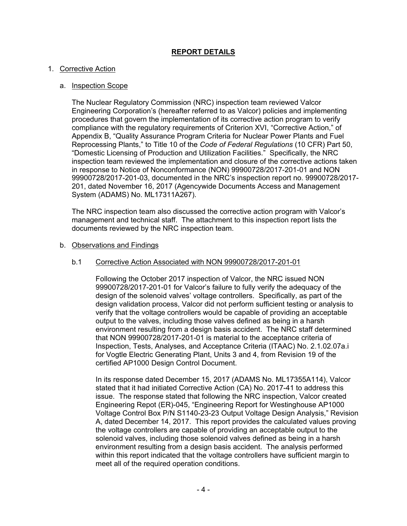# **REPORT DETAILS**

#### 1. Corrective Action

#### a. Inspection Scope

The Nuclear Regulatory Commission (NRC) inspection team reviewed Valcor Engineering Corporation's (hereafter referred to as Valcor) policies and implementing procedures that govern the implementation of its corrective action program to verify compliance with the regulatory requirements of Criterion XVI, "Corrective Action," of Appendix B, "Quality Assurance Program Criteria for Nuclear Power Plants and Fuel Reprocessing Plants," to Title 10 of the *Code of Federal Regulations* (10 CFR) Part 50, "Domestic Licensing of Production and Utilization Facilities." Specifically, the NRC inspection team reviewed the implementation and closure of the corrective actions taken in response to Notice of Nonconformance (NON) 99900728/2017-201-01 and NON 99900728/2017-201-03, documented in the NRC's inspection report no. 99900728/2017- 201, dated November 16, 2017 (Agencywide Documents Access and Management System (ADAMS) No. ML17311A267).

The NRC inspection team also discussed the corrective action program with Valcor's management and technical staff. The attachment to this inspection report lists the documents reviewed by the NRC inspection team.

#### b. Observations and Findings

### b.1 Corrective Action Associated with NON 99900728/2017-201-01

Following the October 2017 inspection of Valcor, the NRC issued NON 99900728/2017-201-01 for Valcor's failure to fully verify the adequacy of the design of the solenoid valves' voltage controllers. Specifically, as part of the design validation process, Valcor did not perform sufficient testing or analysis to verify that the voltage controllers would be capable of providing an acceptable output to the valves, including those valves defined as being in a harsh environment resulting from a design basis accident. The NRC staff determined that NON 99900728/2017-201-01 is material to the acceptance criteria of Inspection, Tests, Analyses, and Acceptance Criteria (ITAAC) No. 2.1.02.07a.i for Vogtle Electric Generating Plant, Units 3 and 4, from Revision 19 of the certified AP1000 Design Control Document.

In its response dated December 15, 2017 (ADAMS No. ML17355A114), Valcor stated that it had initiated Corrective Action (CA) No. 2017-41 to address this issue. The response stated that following the NRC inspection, Valcor created Engineering Repot (ER)-045, "Engineering Report for Westinghouse AP1000 Voltage Control Box P/N S1140-23-23 Output Voltage Design Analysis," Revision A, dated December 14, 2017. This report provides the calculated values proving the voltage controllers are capable of providing an acceptable output to the solenoid valves, including those solenoid valves defined as being in a harsh environment resulting from a design basis accident. The analysis performed within this report indicated that the voltage controllers have sufficient margin to meet all of the required operation conditions.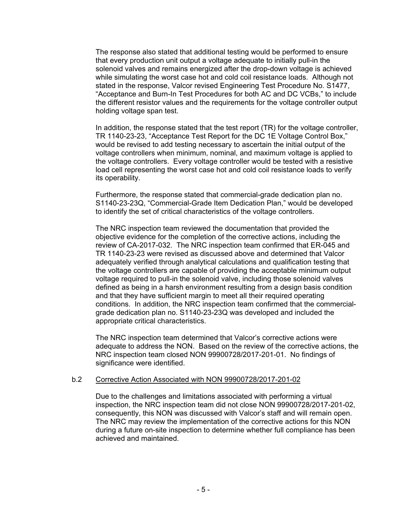The response also stated that additional testing would be performed to ensure that every production unit output a voltage adequate to initially pull-in the solenoid valves and remains energized after the drop-down voltage is achieved while simulating the worst case hot and cold coil resistance loads. Although not stated in the response, Valcor revised Engineering Test Procedure No. S1477, "Acceptance and Burn-In Test Procedures for both AC and DC VCBs," to include the different resistor values and the requirements for the voltage controller output holding voltage span test.

In addition, the response stated that the test report (TR) for the voltage controller, TR 1140-23-23, "Acceptance Test Report for the DC 1E Voltage Control Box," would be revised to add testing necessary to ascertain the initial output of the voltage controllers when minimum, nominal, and maximum voltage is applied to the voltage controllers. Every voltage controller would be tested with a resistive load cell representing the worst case hot and cold coil resistance loads to verify its operability.

Furthermore, the response stated that commercial-grade dedication plan no. S1140-23-23Q, "Commercial-Grade Item Dedication Plan," would be developed to identify the set of critical characteristics of the voltage controllers.

The NRC inspection team reviewed the documentation that provided the objective evidence for the completion of the corrective actions, including the review of CA-2017-032. The NRC inspection team confirmed that ER-045 and TR 1140-23-23 were revised as discussed above and determined that Valcor adequately verified through analytical calculations and qualification testing that the voltage controllers are capable of providing the acceptable minimum output voltage required to pull-in the solenoid valve, including those solenoid valves defined as being in a harsh environment resulting from a design basis condition and that they have sufficient margin to meet all their required operating conditions. In addition, the NRC inspection team confirmed that the commercialgrade dedication plan no. S1140-23-23Q was developed and included the appropriate critical characteristics.

The NRC inspection team determined that Valcor's corrective actions were adequate to address the NON. Based on the review of the corrective actions, the NRC inspection team closed NON 99900728/2017-201-01. No findings of significance were identified.

# b.2 Corrective Action Associated with NON 99900728/2017-201-02

Due to the challenges and limitations associated with performing a virtual inspection, the NRC inspection team did not close NON 99900728/2017-201-02, consequently, this NON was discussed with Valcor's staff and will remain open. The NRC may review the implementation of the corrective actions for this NON during a future on-site inspection to determine whether full compliance has been achieved and maintained.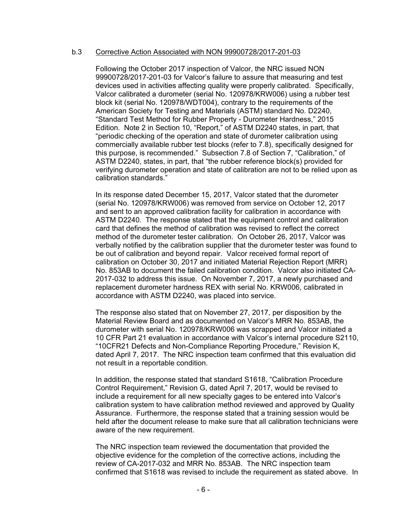#### b.3 Corrective Action Associated with NON 99900728/2017-201-03

Following the October 2017 inspection of Valcor, the NRC issued NON 99900728/2017-201-03 for Valcor's failure to assure that measuring and test devices used in activities affecting quality were properly calibrated. Specifically, Valcor calibrated a durometer (serial No. 120978/KRW006) using a rubber test block kit (serial No. 120978/WDT004), contrary to the requirements of the American Society for Testing and Materials (ASTM) standard No. D2240, "Standard Test Method for Rubber Property - Durometer Hardness," 2015 Edition. Note 2 in Section 10, "Report," of ASTM D2240 states, in part, that "periodic checking of the operation and state of durometer calibration using commercially available rubber test blocks (refer to 7.8), specifically designed for this purpose, is recommended." Subsection 7.8 of Section 7, "Calibration," of ASTM D2240, states, in part, that "the rubber reference block(s) provided for verifying durometer operation and state of calibration are not to be relied upon as calibration standards."

In its response dated December 15, 2017, Valcor stated that the durometer (serial No. 120978/KRW006) was removed from service on October 12, 2017 and sent to an approved calibration facility for calibration in accordance with ASTM D2240. The response stated that the equipment control and calibration card that defines the method of calibration was revised to reflect the correct method of the durometer tester calibration. On October 26, 2017, Valcor was verbally notified by the calibration supplier that the durometer tester was found to be out of calibration and beyond repair. Valcor received formal report of calibration on October 30, 2017 and initiated Material Rejection Report (MRR) No. 853AB to document the failed calibration condition. Valcor also initiated CA-2017-032 to address this issue. On November 7, 2017, a newly purchased and replacement durometer hardness REX with serial No. KRW006, calibrated in accordance with ASTM D2240, was placed into service.

The response also stated that on November 27, 2017, per disposition by the Material Review Board and as documented on Valcor's MRR No. 853AB, the durometer with serial No. 120978/KRW006 was scrapped and Valcor initiated a 10 CFR Part 21 evaluation in accordance with Valcor's internal procedure S2110, "10CFR21 Defects and Non-Compliance Reporting Procedure," Revision K, dated April 7, 2017. The NRC inspection team confirmed that this evaluation did not result in a reportable condition.

In addition, the response stated that standard S1618, "Calibration Procedure Control Requirement," Revision G, dated April 7, 2017, would be revised to include a requirement for all new specialty gages to be entered into Valcor's calibration system to have calibration method reviewed and approved by Quality Assurance. Furthermore, the response stated that a training session would be held after the document release to make sure that all calibration technicians were aware of the new requirement.

The NRC inspection team reviewed the documentation that provided the objective evidence for the completion of the corrective actions, including the review of CA-2017-032 and MRR No. 853AB. The NRC inspection team confirmed that S1618 was revised to include the requirement as stated above. In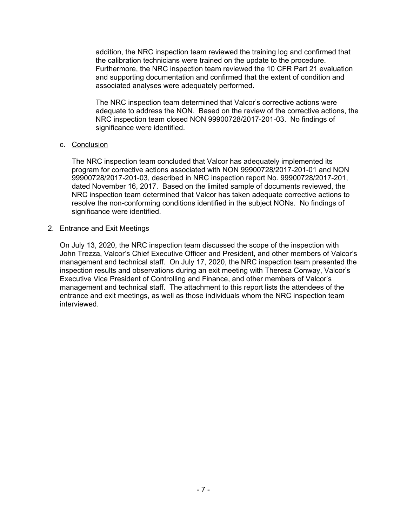addition, the NRC inspection team reviewed the training log and confirmed that the calibration technicians were trained on the update to the procedure. Furthermore, the NRC inspection team reviewed the 10 CFR Part 21 evaluation and supporting documentation and confirmed that the extent of condition and associated analyses were adequately performed.

The NRC inspection team determined that Valcor's corrective actions were adequate to address the NON. Based on the review of the corrective actions, the NRC inspection team closed NON 99900728/2017-201-03. No findings of significance were identified.

# c. Conclusion

The NRC inspection team concluded that Valcor has adequately implemented its program for corrective actions associated with NON 99900728/2017-201-01 and NON 99900728/2017-201-03, described in NRC inspection report No. 99900728/2017-201, dated November 16, 2017. Based on the limited sample of documents reviewed, the NRC inspection team determined that Valcor has taken adequate corrective actions to resolve the non-conforming conditions identified in the subject NONs. No findings of significance were identified.

### 2. Entrance and Exit Meetings

On July 13, 2020, the NRC inspection team discussed the scope of the inspection with John Trezza, Valcor's Chief Executive Officer and President, and other members of Valcor's management and technical staff. On July 17, 2020, the NRC inspection team presented the inspection results and observations during an exit meeting with Theresa Conway, Valcor's Executive Vice President of Controlling and Finance, and other members of Valcor's management and technical staff. The attachment to this report lists the attendees of the entrance and exit meetings, as well as those individuals whom the NRC inspection team interviewed.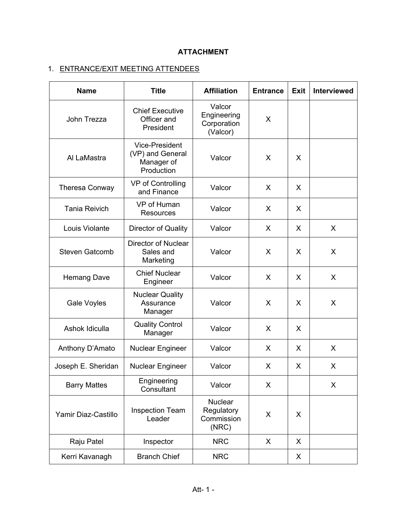# **ATTACHMENT**

# 1. ENTRANCE/EXIT MEETING ATTENDEES

| <b>Name</b>           | <b>Title</b>                                                          | <b>Affiliation</b>                                  | <b>Entrance</b> | <b>Exit</b> | <b>Interviewed</b> |
|-----------------------|-----------------------------------------------------------------------|-----------------------------------------------------|-----------------|-------------|--------------------|
| John Trezza           | <b>Chief Executive</b><br>Officer and<br>President                    | Valcor<br>Engineering<br>Corporation<br>(Valcor)    | X               |             |                    |
| Al LaMastra           | <b>Vice-President</b><br>(VP) and General<br>Manager of<br>Production | Valcor                                              | X.              | X           |                    |
| <b>Theresa Conway</b> | VP of Controlling<br>and Finance                                      | Valcor                                              | X               | X           |                    |
| <b>Tania Reivich</b>  | VP of Human<br><b>Resources</b>                                       | Valcor                                              | X               | X           |                    |
| Louis Violante        | Director of Quality                                                   | Valcor                                              | X               | X           | X                  |
| <b>Steven Gatcomb</b> | <b>Director of Nuclear</b><br>Sales and<br>Marketing                  | Valcor                                              | X               | X           | X                  |
| <b>Hemang Dave</b>    | <b>Chief Nuclear</b><br>Engineer                                      | Valcor                                              | X.              | X           | X                  |
| Gale Voyles           | <b>Nuclear Quality</b><br>Assurance<br>Manager                        | Valcor                                              | X               | X           | X                  |
| Ashok Idiculla        | <b>Quality Control</b><br>Manager                                     | Valcor                                              | X               | X           |                    |
| Anthony D'Amato       | <b>Nuclear Engineer</b>                                               | Valcor                                              | X               | X           | X                  |
| Joseph E. Sheridan    | Nuclear Engineer                                                      | Valcor                                              | X               | X           | X                  |
| <b>Barry Mattes</b>   | Engineering<br>Consultant                                             | Valcor                                              | X               |             | X                  |
| Yamir Diaz-Castillo   | <b>Inspection Team</b><br>Leader                                      | <b>Nuclear</b><br>Regulatory<br>Commission<br>(NRC) | X               | X           |                    |
| Raju Patel            | Inspector                                                             | <b>NRC</b>                                          | X.              | X           |                    |
| Kerri Kavanagh        | <b>Branch Chief</b>                                                   | <b>NRC</b>                                          |                 | X           |                    |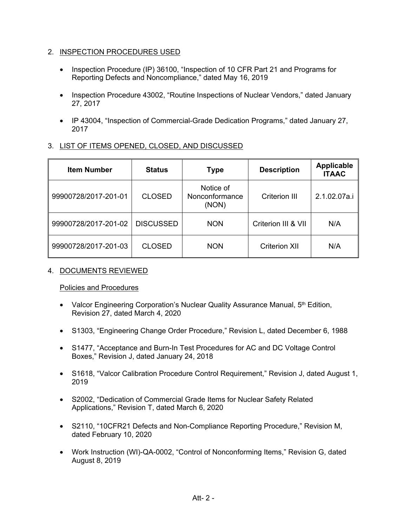# 2. INSPECTION PROCEDURES USED

- Inspection Procedure (IP) 36100, "Inspection of 10 CFR Part 21 and Programs for Reporting Defects and Noncompliance," dated May 16, 2019
- Inspection Procedure 43002, "Routine Inspections of Nuclear Vendors," dated January 27, 2017
- IP 43004, "Inspection of Commercial-Grade Dedication Programs," dated January 27, 2017

# 3. LIST OF ITEMS OPENED, CLOSED, AND DISCUSSED

| <b>Item Number</b>   | <b>Status</b>    | <b>Type</b>                          | <b>Description</b>   | <b>Applicable</b><br><b>ITAAC</b> |
|----------------------|------------------|--------------------------------------|----------------------|-----------------------------------|
| 99900728/2017-201-01 | <b>CLOSED</b>    | Notice of<br>Nonconformance<br>(NON) | <b>Criterion III</b> | 2.1.02.07a.i                      |
| 99900728/2017-201-02 | <b>DISCUSSED</b> | <b>NON</b>                           | Criterion III & VII  | N/A                               |
| 99900728/2017-201-03 | <b>CLOSED</b>    | <b>NON</b>                           | <b>Criterion XII</b> | N/A                               |

# 4. DOCUMENTS REVIEWED

# Policies and Procedures

- Valcor Engineering Corporation's Nuclear Quality Assurance Manual,  $5<sup>th</sup>$  Edition, Revision 27, dated March 4, 2020
- S1303, "Engineering Change Order Procedure," Revision L, dated December 6, 1988
- S1477, "Acceptance and Burn-In Test Procedures for AC and DC Voltage Control Boxes," Revision J, dated January 24, 2018
- S1618, "Valcor Calibration Procedure Control Requirement," Revision J, dated August 1, 2019
- S2002, "Dedication of Commercial Grade Items for Nuclear Safety Related Applications," Revision T, dated March 6, 2020
- S2110, "10CFR21 Defects and Non-Compliance Reporting Procedure," Revision M, dated February 10, 2020
- Work Instruction (WI)-QA-0002, "Control of Nonconforming Items," Revision G, dated August 8, 2019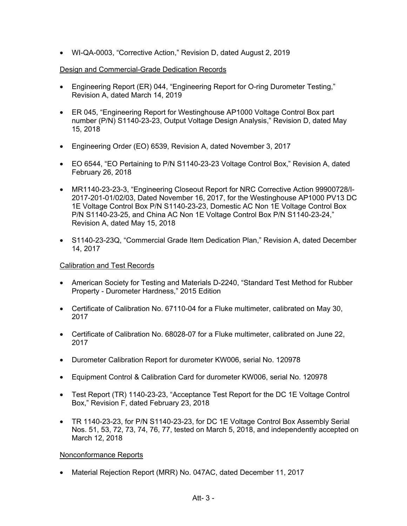• WI-QA-0003, "Corrective Action," Revision D, dated August 2, 2019

# Design and Commercial-Grade Dedication Records

- Engineering Report (ER) 044, "Engineering Report for O-ring Durometer Testing," Revision A, dated March 14, 2019
- ER 045, "Engineering Report for Westinghouse AP1000 Voltage Control Box part number (P/N) S1140-23-23, Output Voltage Design Analysis," Revision D, dated May 15, 2018
- Engineering Order (EO) 6539, Revision A, dated November 3, 2017
- EO 6544, "EO Pertaining to P/N S1140-23-23 Voltage Control Box," Revision A, dated February 26, 2018
- MR1140-23-23-3, "Engineering Closeout Report for NRC Corrective Action 99900728/I-2017-201-01/02/03, Dated November 16, 2017, for the Westinghouse AP1000 PV13 DC 1E Voltage Control Box P/N S1140-23-23, Domestic AC Non 1E Voltage Control Box P/N S1140-23-25, and China AC Non 1E Voltage Control Box P/N S1140-23-24," Revision A, dated May 15, 2018
- S1140-23-23Q, "Commercial Grade Item Dedication Plan," Revision A, dated December 14, 2017

# Calibration and Test Records

- American Society for Testing and Materials D-2240, "Standard Test Method for Rubber Property - Durometer Hardness," 2015 Edition
- Certificate of Calibration No. 67110-04 for a Fluke multimeter, calibrated on May 30, 2017
- Certificate of Calibration No. 68028-07 for a Fluke multimeter, calibrated on June 22, 2017
- Durometer Calibration Report for durometer KW006, serial No. 120978
- Equipment Control & Calibration Card for durometer KW006, serial No. 120978
- Test Report (TR) 1140-23-23, "Acceptance Test Report for the DC 1E Voltage Control Box," Revision F, dated February 23, 2018
- TR 1140-23-23, for P/N S1140-23-23, for DC 1E Voltage Control Box Assembly Serial Nos. 51, 53, 72, 73, 74, 76, 77, tested on March 5, 2018, and independently accepted on March 12, 2018

# Nonconformance Reports

• Material Rejection Report (MRR) No. 047AC, dated December 11, 2017